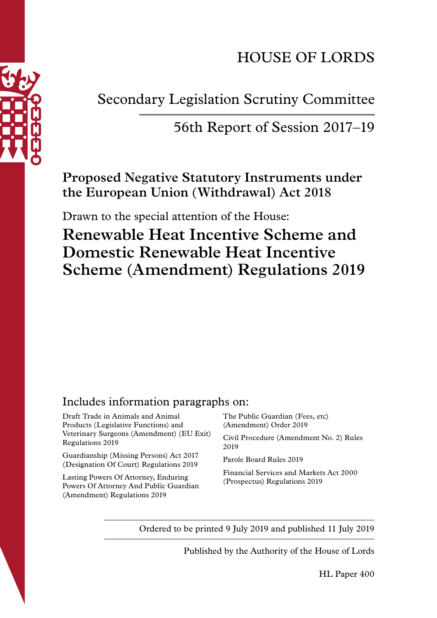

# HOUSE OF LORDS

Secondary Legislation Scrutiny Committee

# 56th Report of Session 2017–19

**Proposed Negative Statutory Instruments under the European Union (Withdrawal) Act 2018**

Drawn to the special attention of the House:

**Renewable Heat Incentive Scheme and Domestic Renewable Heat Incentive Scheme (Amendment) Regulations 2019** 

# Includes information paragraphs on:

Draft Trade in Animals and Animal Products (Legislative Functions) and Veterinary Surgeons (Amendment) (EU Exit) Regulations 2019

Guardianship (Missing Persons) Act 2017 (Designation Of Court) Regulations 2019

Lasting Powers Of Attorney, Enduring Powers Of Attorney And Public Guardian (Amendment) Regulations 2019

The Public Guardian (Fees, etc) (Amendment) Order 2019

Civil Procedure (Amendment No. 2) Rules 2019

Parole Board Rules 2019

Financial Services and Markets Act 2000 (Prospectus) Regulations 2019

Ordered to be printed 9 July 2019 and published 11 July 2019

Published by the Authority of the House of Lords

HL Paper 400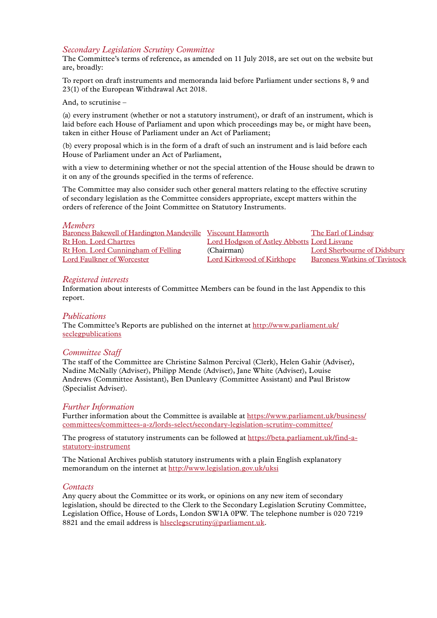# *Secondary Legislation Scrutiny Committee*

The Committee's terms of reference, as amended on 11 July 2018, are set out on the website but are, broadly:

To report on draft instruments and memoranda laid before Parliament under sections 8, 9 and 23(1) of the European Withdrawal Act 2018.

#### And, to scrutinise –

(a) every instrument (whether or not a statutory instrument), or draft of an instrument, which is laid before each House of Parliament and upon which proceedings may be, or might have been, taken in either House of Parliament under an Act of Parliament;

(b) every proposal which is in the form of a draft of such an instrument and is laid before each House of Parliament under an Act of Parliament,

with a view to determining whether or not the special attention of the House should be drawn to it on any of the grounds specified in the terms of reference.

The Committee may also consider such other general matters relating to the effective scrutiny of secondary legislation as the Committee considers appropriate, except matters within the orders of reference of the Joint Committee on Statutory Instruments.

| Members |  |
|---------|--|
|         |  |

[Baroness Bakewell of Hardington Mandeville](https://www.parliament.uk/biographies/lords/baroness-bakewell-of-hardington-mandeville/4285) [Viscount Hanworth](https://www.parliament.uk/biographies/lords/viscount-hanworth/2648) The [Earl of Lindsay](https://www.parliament.uk/biographies/lords/the-earl-of-lindsay/2059
) Rt Hon. Lord Chartres [Lord Hodgson of Astley Abbotts](https://www.parliament.uk/biographies/lords/lord-hodgson-of-astley-abbotts/1651) [Lord Lisvane](https://www.parliament.uk/biographies/lords/lord-lisvane/4351
) [Rt Hon. Lord Cunningham of Felling](https://www.parliament.uk/biographies/lords/lord-cunningham-of-felling/496) (Chairman) Lord Sherbourne of Didsbury [Lord Faulkner of Worcester](https://www.parliament.uk/biographies/lords/lord-faulkner-of-worcester/2472) Lord Kirkwood of Kirkhope Baroness Watkins of Tavistock

#### *Registered interests*

Information about interests of Committee Members can be found in the last Appendix to this report.

#### *Publications*

The Committee's Reports are published on the internet at [http://www.parliament.uk/](http://www.parliament.uk/seclegpublications) [seclegpublications](http://www.parliament.uk/seclegpublications)

#### *Committee Staff*

The staff of the Committee are Christine Salmon Percival (Clerk), Helen Gahir (Adviser), Nadine McNally (Adviser), Philipp Mende (Adviser), Jane White (Adviser), Louise Andrews (Committee Assistant), Ben Dunleavy (Committee Assistant) and Paul Bristow (Specialist Adviser).

#### *Further Information*

Further information about the Committee is available at https://www.parliament.uk/business/ committees/committees-a-z/lords-select/secondary-legislation-scrutiny-committee/

The progress of statutory instruments can be followed at https://beta.parliament.uk/find-astatutory-instrument

The National Archives publish statutory instruments with a plain English explanatory memorandum on the internet at http://www.legislation.gov.uk/uksi

#### *Contacts*

Any query about the Committee or its work, or opinions on any new item of secondary legislation, should be directed to the Clerk to the Secondary Legislation Scrutiny Committee, Legislation Office, House of Lords, London SW1A 0PW. The telephone number is 020 7219 8821 and the email address is [hlseclegscrutiny@parliament.uk](mailto:hlseclegscrutiny%40parliament.uk?subject=).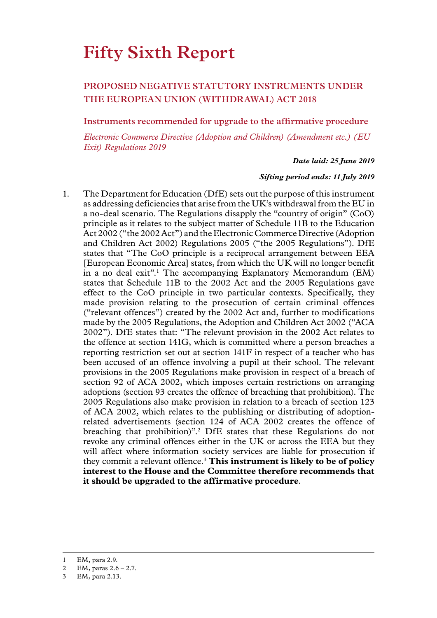# **Fifty Sixth Report**

# **PROPOSED NEGATIVE STATUTORY INSTRUMENTS UNDER THE EUROPEAN UNION (WITHDRAWAL) ACT 2018**

#### **Instruments recommended for upgrade to the affirmative procedure**

*Electronic Commerce Directive (Adoption and Children) (Amendment etc.) (EU Exit) Regulations 2019*

#### *Date laid: 25 June 2019*

#### *Sifting period ends: 11 July 2019*

1. The Department for Education (DfE) sets out the purpose of this instrument as addressing deficiencies that arise from the UK's withdrawal from the EU in a no-deal scenario. The Regulations disapply the "country of origin" (CoO) principle as it relates to the subject matter of Schedule 11B to the Education Act 2002 ("the 2002 Act") and the Electronic Commerce Directive (Adoption and Children Act 2002) Regulations 2005 ("the 2005 Regulations"). DfE states that "The CoO principle is a reciprocal arrangement between EEA [European Economic Area] states, from which the UK will no longer benefit in a no deal exit".<sup>1</sup> The accompanying Explanatory Memorandum (EM) states that Schedule 11B to the 2002 Act and the 2005 Regulations gave effect to the CoO principle in two particular contexts. Specifically, they made provision relating to the prosecution of certain criminal offences ("relevant offences") created by the 2002 Act and, further to modifications made by the 2005 Regulations, the Adoption and Children Act 2002 ("ACA 2002"). DfE states that: "The relevant provision in the 2002 Act relates to the offence at section 141G, which is committed where a person breaches a reporting restriction set out at section 141F in respect of a teacher who has been accused of an offence involving a pupil at their school. The relevant provisions in the 2005 Regulations make provision in respect of a breach of section 92 of ACA 2002, which imposes certain restrictions on arranging adoptions (section 93 creates the offence of breaching that prohibition). The 2005 Regulations also make provision in relation to a breach of section 123 of ACA 2002, which relates to the publishing or distributing of adoptionrelated advertisements (section 124 of ACA 2002 creates the offence of breaching that prohibition)".2 DfE states that these Regulations do not revoke any criminal offences either in the UK or across the EEA but they will affect where information society services are liable for prosecution if they commit a relevant offence.3 **This instrument is likely to be of policy interest to the House and the Committee therefore recommends that it should be upgraded to the affirmative procedure**.

<sup>1</sup> EM, para 2.9.

<sup>2</sup> EM, paras 2.6 – 2.7.

<sup>3</sup> EM, para 2.13.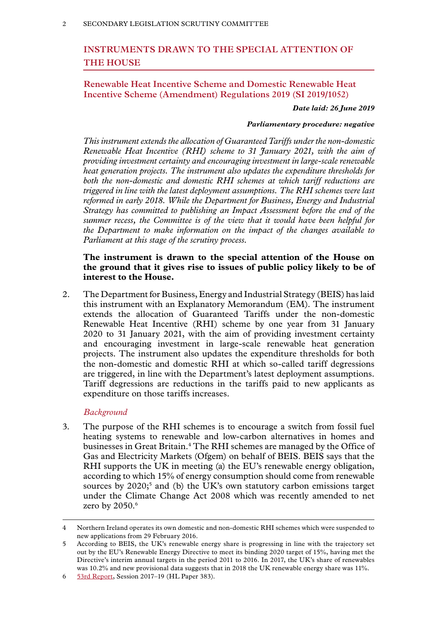# **INSTRUMENTS DRAWN TO THE SPECIAL ATTENTION OF THE HOUSE**

# **Renewable Heat Incentive Scheme and Domestic Renewable Heat Incentive Scheme (Amendment) Regulations 2019 (SI 2019/1052)**

*Date laid: 26 June 2019*

#### *Parliamentary procedure: negative*

*This instrument extends the allocation of Guaranteed Tariffs under the non-domestic Renewable Heat Incentive (RHI) scheme to 31 January 2021, with the aim of providing investment certainty and encouraging investment in large-scale renewable heat generation projects. The instrument also updates the expenditure thresholds for both the non-domestic and domestic RHI schemes at which tariff reductions are triggered in line with the latest deployment assumptions. The RHI schemes were last reformed in early 2018. While the Department for Business, Energy and Industrial Strategy has committed to publishing an Impact Assessment before the end of the summer recess, the Committee is of the view that it would have been helpful for the Department to make information on the impact of the changes available to Parliament at this stage of the scrutiny process.*

# **The instrument is drawn to the special attention of the House on the ground that it gives rise to issues of public policy likely to be of interest to the House.**

2. The Department for Business, Energy and Industrial Strategy (BEIS) has laid this instrument with an Explanatory Memorandum (EM). The instrument extends the allocation of Guaranteed Tariffs under the non-domestic Renewable Heat Incentive (RHI) scheme by one year from 31 January 2020 to 31 January 2021, with the aim of providing investment certainty and encouraging investment in large-scale renewable heat generation projects. The instrument also updates the expenditure thresholds for both the non-domestic and domestic RHI at which so-called tariff degressions are triggered, in line with the Department's latest deployment assumptions. Tariff degressions are reductions in the tariffs paid to new applicants as expenditure on those tariffs increases.

#### *Background*

3. The purpose of the RHI schemes is to encourage a switch from fossil fuel heating systems to renewable and low-carbon alternatives in homes and businesses in Great Britain.4 The RHI schemes are managed by the Office of Gas and Electricity Markets (Ofgem) on behalf of BEIS. BEIS says that the RHI supports the UK in meeting (a) the EU's renewable energy obligation, according to which 15% of energy consumption should come from renewable sources by  $2020<sub>5</sub>$  and (b) the UK's own statutory carbon emissions target under the Climate Change Act 2008 which was recently amended to net zero by 2050.<sup>6</sup>

<sup>4</sup> Northern Ireland operates its own domestic and non-domestic RHI schemes which were suspended to new applications from 29 February 2016.

<sup>5</sup> According to BEIS, the UK's renewable energy share is progressing in line with the trajectory set out by the EU's Renewable Energy Directive to meet its binding 2020 target of 15%, having met the Directive's interim annual targets in the period 2011 to 2016. In 2017, the UK's share of renewables was 10.2% and new provisional data suggests that in 2018 the UK renewable energy share was 11%.

<sup>6</sup> [53rd Report,](https://publications.parliament.uk/pa/ld201719/ldselect/ldsecleg/383/383.pdf) Session 2017–19 (HL Paper 383).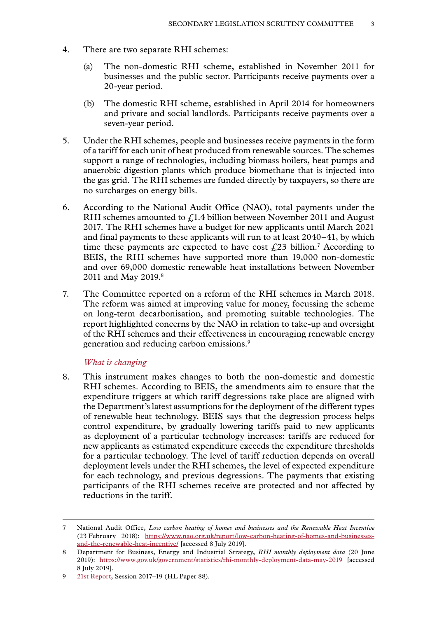- 4. There are two separate RHI schemes:
	- (a) The non-domestic RHI scheme, established in November 2011 for businesses and the public sector. Participants receive payments over a 20-year period.
	- (b) The domestic RHI scheme, established in April 2014 for homeowners and private and social landlords. Participants receive payments over a seven-year period.
- 5. Under the RHI schemes, people and businesses receive payments in the form of a tariff for each unit of heat produced from renewable sources. The schemes support a range of technologies, including biomass boilers, heat pumps and anaerobic digestion plants which produce biomethane that is injected into the gas grid. The RHI schemes are funded directly by taxpayers, so there are no surcharges on energy bills.
- 6. According to the National Audit Office (NAO), total payments under the RHI schemes amounted to  $f<sub>i</sub>1.4$  billion between November 2011 and August 2017. The RHI schemes have a budget for new applicants until March 2021 and final payments to these applicants will run to at least 2040–41, by which time these payments are expected to have cost  $\text{\emph{L}}23$  billion.<sup>7</sup> According to BEIS, the RHI schemes have supported more than 19,000 non-domestic and over 69,000 domestic renewable heat installations between November 2011 and May 2019.<sup>8</sup>
- 7. The Committee reported on a reform of the RHI schemes in March 2018. The reform was aimed at improving value for money, focussing the scheme on long-term decarbonisation, and promoting suitable technologies. The report highlighted concerns by the NAO in relation to take-up and oversight of the RHI schemes and their effectiveness in encouraging renewable energy generation and reducing carbon emissions.9

#### *What is changing*

8. This instrument makes changes to both the non-domestic and domestic RHI schemes. According to BEIS, the amendments aim to ensure that the expenditure triggers at which tariff degressions take place are aligned with the Department's latest assumptions for the deployment of the different types of renewable heat technology. BEIS says that the degression process helps control expenditure, by gradually lowering tariffs paid to new applicants as deployment of a particular technology increases: tariffs are reduced for new applicants as estimated expenditure exceeds the expenditure thresholds for a particular technology. The level of tariff reduction depends on overall deployment levels under the RHI schemes, the level of expected expenditure for each technology, and previous degressions. The payments that existing participants of the RHI schemes receive are protected and not affected by reductions in the tariff.

<sup>7</sup> National Audit Office, *[Low carbon heating of homes and businesses and the Renewable Heat Incentive](https://www.nao.org.uk/report/low-carbon-heating-of-homes-and-businesses-and-the-renewable-heat-incentive/)*  (23 February 2018): [https://www.nao.org.uk/report/low-carbon-heating-of-homes-and-businesses](https://www.nao.org.uk/report/low-carbon-heating-of-homes-and-businesses-and-the-renewable-heat-incentive/)[and-the-renewable-heat-incentive/](https://www.nao.org.uk/report/low-carbon-heating-of-homes-and-businesses-and-the-renewable-heat-incentive/) [accessed 8 July 2019].

<sup>8</sup> Department for Business, Energy and Industrial Strategy, *RHI monthly deployment data* (20 June 2019): <https://www.gov.uk/government/statistics/rhi-monthly-deployment-data-may-2019>[accessed 8 July 2019].

<sup>9</sup> [21st Report](https://publications.parliament.uk/pa/ld201719/ldselect/ldsecleg/88/88.pdf), Session 2017-19 (HL Paper 88).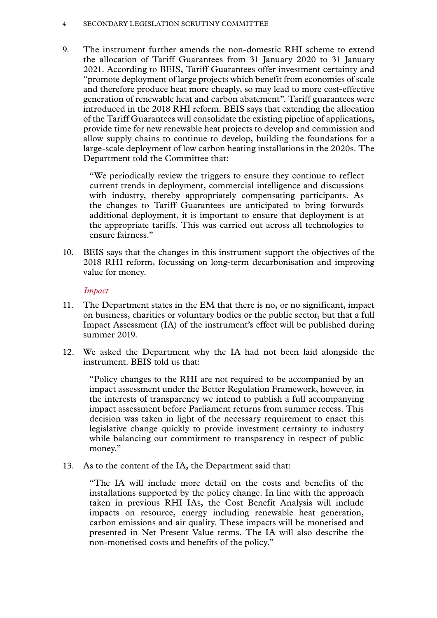#### 4 SECONDARY LEGISLATION SCRUTINY COMMITTEE

9. The instrument further amends the non-domestic RHI scheme to extend the allocation of Tariff Guarantees from 31 January 2020 to 31 January 2021. According to BEIS, Tariff Guarantees offer investment certainty and "promote deployment of large projects which benefit from economies of scale and therefore produce heat more cheaply, so may lead to more cost-effective generation of renewable heat and carbon abatement". Tariff guarantees were introduced in the 2018 RHI reform. BEIS says that extending the allocation of the Tariff Guarantees will consolidate the existing pipeline of applications, provide time for new renewable heat projects to develop and commission and allow supply chains to continue to develop, building the foundations for a large-scale deployment of low carbon heating installations in the 2020s. The Department told the Committee that:

"We periodically review the triggers to ensure they continue to reflect current trends in deployment, commercial intelligence and discussions with industry, thereby appropriately compensating participants. As the changes to Tariff Guarantees are anticipated to bring forwards additional deployment, it is important to ensure that deployment is at the appropriate tariffs. This was carried out across all technologies to ensure fairness."

10. BEIS says that the changes in this instrument support the objectives of the 2018 RHI reform, focussing on long-term decarbonisation and improving value for money.

# *Impact*

- 11. The Department states in the EM that there is no, or no significant, impact on business, charities or voluntary bodies or the public sector, but that a full Impact Assessment (IA) of the instrument's effect will be published during summer 2019.
- 12. We asked the Department why the IA had not been laid alongside the instrument. BEIS told us that:

"Policy changes to the RHI are not required to be accompanied by an impact assessment under the Better Regulation Framework, however, in the interests of transparency we intend to publish a full accompanying impact assessment before Parliament returns from summer recess. This decision was taken in light of the necessary requirement to enact this legislative change quickly to provide investment certainty to industry while balancing our commitment to transparency in respect of public money."

13. As to the content of the IA, the Department said that:

"The IA will include more detail on the costs and benefits of the installations supported by the policy change. In line with the approach taken in previous RHI IAs, the Cost Benefit Analysis will include impacts on resource, energy including renewable heat generation, carbon emissions and air quality. These impacts will be monetised and presented in Net Present Value terms. The IA will also describe the non-monetised costs and benefits of the policy."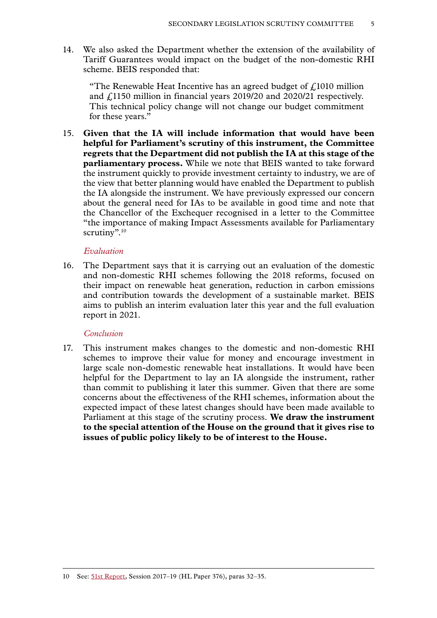14. We also asked the Department whether the extension of the availability of Tariff Guarantees would impact on the budget of the non-domestic RHI scheme. BEIS responded that:

"The Renewable Heat Incentive has an agreed budget of  $\ell$ 1010 million and £1150 million in financial years 2019/20 and 2020/21 respectively. This technical policy change will not change our budget commitment for these years."

15. **Given that the IA will include information that would have been helpful for Parliament's scrutiny of this instrument, the Committee regrets that the Department did not publish the IA at this stage of the parliamentary process.** While we note that BEIS wanted to take forward the instrument quickly to provide investment certainty to industry, we are of the view that better planning would have enabled the Department to publish the IA alongside the instrument. We have previously expressed our concern about the general need for IAs to be available in good time and note that the Chancellor of the Exchequer recognised in a letter to the Committee "the importance of making Impact Assessments available for Parliamentary scrutiny".<sup>10</sup>

## *Evaluation*

16. The Department says that it is carrying out an evaluation of the domestic and non-domestic RHI schemes following the 2018 reforms, focused on their impact on renewable heat generation, reduction in carbon emissions and contribution towards the development of a sustainable market. BEIS aims to publish an interim evaluation later this year and the full evaluation report in 2021.

### *Conclusion*

17. This instrument makes changes to the domestic and non-domestic RHI schemes to improve their value for money and encourage investment in large scale non-domestic renewable heat installations. It would have been helpful for the Department to lay an IA alongside the instrument, rather than commit to publishing it later this summer. Given that there are some concerns about the effectiveness of the RHI schemes, information about the expected impact of these latest changes should have been made available to Parliament at this stage of the scrutiny process. **We draw the instrument to the special attention of the House on the ground that it gives rise to issues of public policy likely to be of interest to the House.**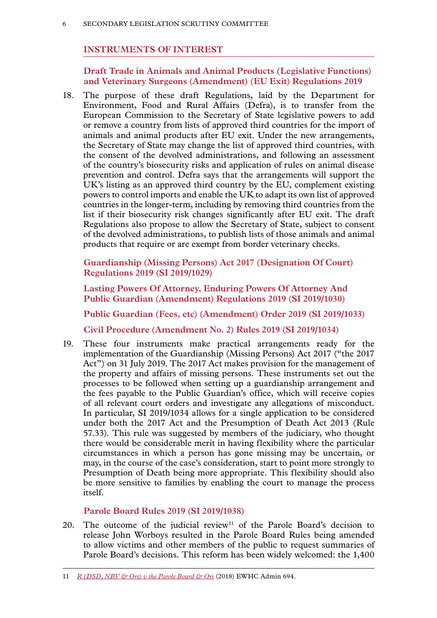# **INSTRUMENTS OF INTEREST**

**Draft Trade in Animals and Animal Products (Legislative Functions) and Veterinary Surgeons (Amendment) (EU Exit) Regulations 2019**

18. The purpose of these draft Regulations, laid by the Department for Environment, Food and Rural Affairs (Defra), is to transfer from the European Commission to the Secretary of State legislative powers to add or remove a country from lists of approved third countries for the import of animals and animal products after EU exit. Under the new arrangements, the Secretary of State may change the list of approved third countries, with the consent of the devolved administrations, and following an assessment of the country's biosecurity risks and application of rules on animal disease prevention and control. Defra says that the arrangements will support the UK's listing as an approved third country by the EU, complement existing powers to control imports and enable the UK to adapt its own list of approved countries in the longer-term, including by removing third countries from the list if their biosecurity risk changes significantly after EU exit. The draft Regulations also propose to allow the Secretary of State, subject to consent of the devolved administrations, to publish lists of those animals and animal products that require or are exempt from border veterinary checks.

**Guardianship (Missing Persons) Act 2017 (Designation Of Court) Regulations 2019 (SI 2019/1029)**

**Lasting Powers Of Attorney, Enduring Powers Of Attorney And Public Guardian (Amendment) Regulations 2019 (SI 2019/1030)**

**Public Guardian (Fees, etc) (Amendment) Order 2019 (SI 2019/1033)**

**Civil Procedure (Amendment No. 2) Rules 2019 (SI 2019/1034)**

19. These four instruments make practical arrangements ready for the implementation of the Guardianship (Missing Persons) Act 2017 ("the 2017 Act") on 31 July 2019. The 2017 Act makes provision for the management of the property and affairs of missing persons. These instruments set out the processes to be followed when setting up a guardianship arrangement and the fees payable to the Public Guardian's office, which will receive copies of all relevant court orders and investigate any allegations of misconduct. In particular, SI 2019/1034 allows for a single application to be considered under both the 2017 Act and the Presumption of Death Act 2013 (Rule 57.33). This rule was suggested by members of the judiciary, who thought there would be considerable merit in having flexibility where the particular circumstances in which a person has gone missing may be uncertain, or may, in the course of the case's consideration, start to point more strongly to Presumption of Death being more appropriate. This flexibility should also be more sensitive to families by enabling the court to manage the process itself.

# **Parole Board Rules 2019 (SI 2019/1038)**

20. The outcome of the judicial review<sup>11</sup> of the Parole Board's decision to release John Worboys resulted in the Parole Board Rules being amended to allow victims and other members of the public to request summaries of Parole Board's decisions. This reform has been widely welcomed: the 1,400

<sup>11</sup> *[R \(DSD, NBV & Ors\) v the Parole Board & Ors](https://www.judiciary.uk/wp-content/uploads/2018/03/dsd-nbv-v-parole-board-and-ors.pdf)* (2018) EWHC Admin 694.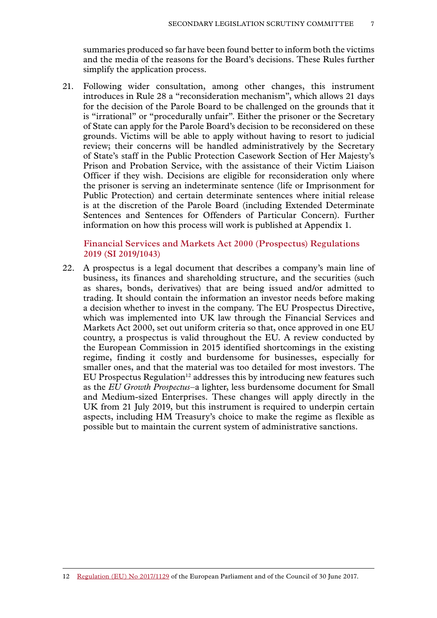summaries produced so far have been found better to inform both the victims and the media of the reasons for the Board's decisions. These Rules further simplify the application process.

21. Following wider consultation, among other changes, this instrument introduces in Rule 28 a "reconsideration mechanism", which allows 21 days for the decision of the Parole Board to be challenged on the grounds that it is "irrational" or "procedurally unfair". Either the prisoner or the Secretary of State can apply for the Parole Board's decision to be reconsidered on these grounds. Victims will be able to apply without having to resort to judicial review; their concerns will be handled administratively by the Secretary of State's staff in the Public Protection Casework Section of Her Majesty's Prison and Probation Service, with the assistance of their Victim Liaison Officer if they wish. Decisions are eligible for reconsideration only where the prisoner is serving an indeterminate sentence (life or Imprisonment for Public Protection) and certain determinate sentences where initial release is at the discretion of the Parole Board (including Extended Determinate Sentences and Sentences for Offenders of Particular Concern). Further information on how this process will work is published at Appendix 1.

## **Financial Services and Markets Act 2000 (Prospectus) Regulations 2019 (SI 2019/1043)**

22. A prospectus is a legal document that describes a company's main line of business, its finances and shareholding structure, and the securities (such as shares, bonds, derivatives) that are being issued and/or admitted to trading. It should contain the information an investor needs before making a decision whether to invest in the company. The EU Prospectus Directive, which was implemented into UK law through the Financial Services and Markets Act 2000, set out uniform criteria so that, once approved in one EU country, a prospectus is valid throughout the EU. A review conducted by the European Commission in 2015 identified shortcomings in the existing regime, finding it costly and burdensome for businesses, especially for smaller ones, and that the material was too detailed for most investors. The EU Prospectus Regulation<sup>12</sup> addresses this by introducing new features such as the *EU Growth Prospectus*–a lighter, less burdensome document for Small and Medium-sized Enterprises. These changes will apply directly in the UK from 21 July 2019, but this instrument is required to underpin certain aspects, including HM Treasury's choice to make the regime as flexible as possible but to maintain the current system of administrative sanctions.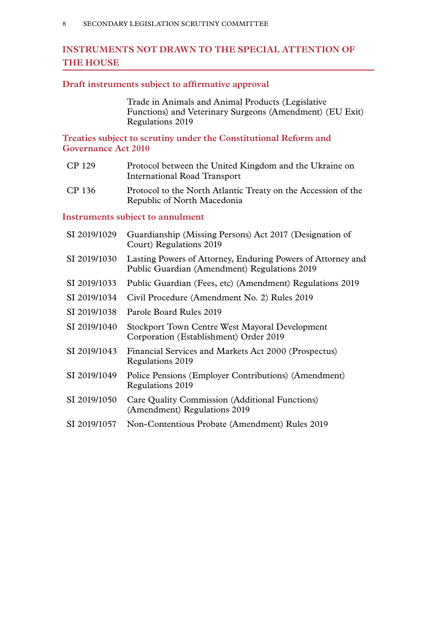# **INSTRUMENTS NOT DRAWN TO THE SPECIAL ATTENTION OF THE HOUSE**

## **Draft instruments subject to affirmative approval**

Trade in Animals and Animal Products (Legislative Functions) and Veterinary Surgeons (Amendment) (EU Exit) Regulations 2019

**Treaties subject to scrutiny under the Constitutional Reform and Governance Act 2010**

- CP 129 Protocol between the United Kingdom and the Ukraine on International Road Transport
- CP 136 Protocol to the North Atlantic Treaty on the Accession of the Republic of North Macedonia

# **Instruments subject to annulment**

| SI 2019/1029 | Guardianship (Missing Persons) Act 2017 (Designation of<br>Court) Regulations 2019                          |
|--------------|-------------------------------------------------------------------------------------------------------------|
| SI 2019/1030 | Lasting Powers of Attorney, Enduring Powers of Attorney and<br>Public Guardian (Amendment) Regulations 2019 |
| SI 2019/1033 | Public Guardian (Fees, etc) (Amendment) Regulations 2019                                                    |
| SI 2019/1034 | Civil Procedure (Amendment No. 2) Rules 2019                                                                |
| SI 2019/1038 | Parole Board Rules 2019                                                                                     |
| SI 2019/1040 | <b>Stockport Town Centre West Mayoral Development</b><br>Corporation (Establishment) Order 2019             |
| SI 2019/1043 | Financial Services and Markets Act 2000 (Prospectus)<br>Regulations 2019                                    |
| SI 2019/1049 | Police Pensions (Employer Contributions) (Amendment)<br>Regulations 2019                                    |
| SI 2019/1050 | Care Quality Commission (Additional Functions)<br>(Amendment) Regulations 2019                              |
| SI 2019/1057 | Non-Contentious Probate (Amendment) Rules 2019                                                              |
|              |                                                                                                             |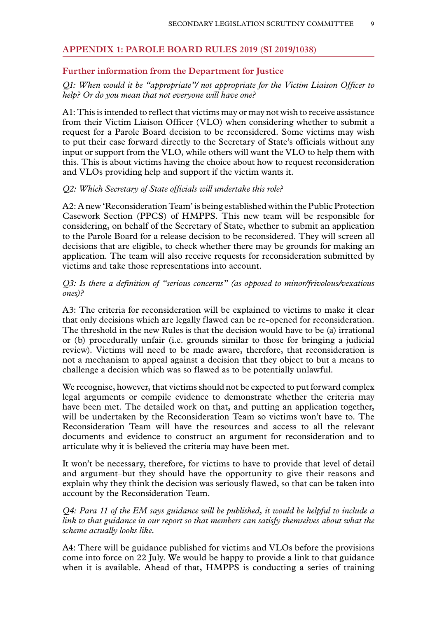## **Appendix 1: PAROLE BOARD RULES 2019 (SI 2019/1038)**

### **Further information from the Department for Justice**

## *Q1: When would it be "appropriate"/ not appropriate for the Victim Liaison Officer to help? Or do you mean that not everyone will have one?*

A1: This is intended to reflect that victims may or may not wish to receive assistance from their Victim Liaison Officer (VLO) when considering whether to submit a request for a Parole Board decision to be reconsidered. Some victims may wish to put their case forward directly to the Secretary of State's officials without any input or support from the VLO, while others will want the VLO to help them with this. This is about victims having the choice about how to request reconsideration and VLOs providing help and support if the victim wants it.

#### *Q2: Which Secretary of State officials will undertake this role?*

A2: A new 'Reconsideration Team' is being established within the Public Protection Casework Section (PPCS) of HMPPS. This new team will be responsible for considering, on behalf of the Secretary of State, whether to submit an application to the Parole Board for a release decision to be reconsidered. They will screen all decisions that are eligible, to check whether there may be grounds for making an application. The team will also receive requests for reconsideration submitted by victims and take those representations into account.

## *Q3: Is there a definition of "serious concerns" (as opposed to minor/frivolous/vexatious ones)?*

A3: The criteria for reconsideration will be explained to victims to make it clear that only decisions which are legally flawed can be re-opened for reconsideration. The threshold in the new Rules is that the decision would have to be (a) irrational or (b) procedurally unfair (i.e. grounds similar to those for bringing a judicial review). Victims will need to be made aware, therefore, that reconsideration is not a mechanism to appeal against a decision that they object to but a means to challenge a decision which was so flawed as to be potentially unlawful.

We recognise, however, that victims should not be expected to put forward complex legal arguments or compile evidence to demonstrate whether the criteria may have been met. The detailed work on that, and putting an application together, will be undertaken by the Reconsideration Team so victims won't have to. The Reconsideration Team will have the resources and access to all the relevant documents and evidence to construct an argument for reconsideration and to articulate why it is believed the criteria may have been met.

It won't be necessary, therefore, for victims to have to provide that level of detail and argument–but they should have the opportunity to give their reasons and explain why they think the decision was seriously flawed, so that can be taken into account by the Reconsideration Team.

*Q4: Para 11 of the EM says guidance will be published, it would be helpful to include a link to that guidance in our report so that members can satisfy themselves about what the scheme actually looks like.*

A4: There will be guidance published for victims and VLOs before the provisions come into force on 22 July. We would be happy to provide a link to that guidance when it is available. Ahead of that, HMPPS is conducting a series of training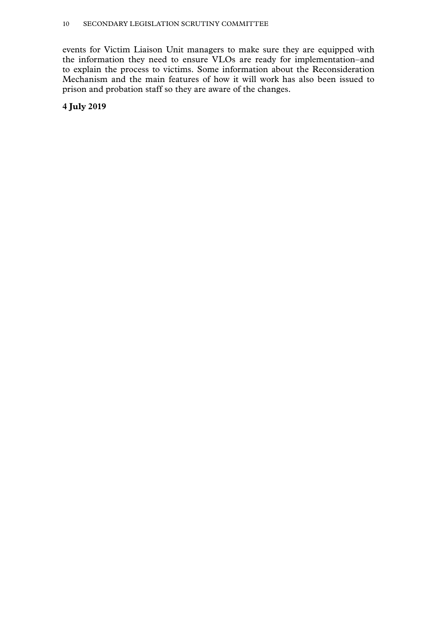events for Victim Liaison Unit managers to make sure they are equipped with the information they need to ensure VLOs are ready for implementation–and to explain the process to victims. Some information about the Reconsideration Mechanism and the main features of how it will work has also been issued to prison and probation staff so they are aware of the changes.

**4 July 2019**